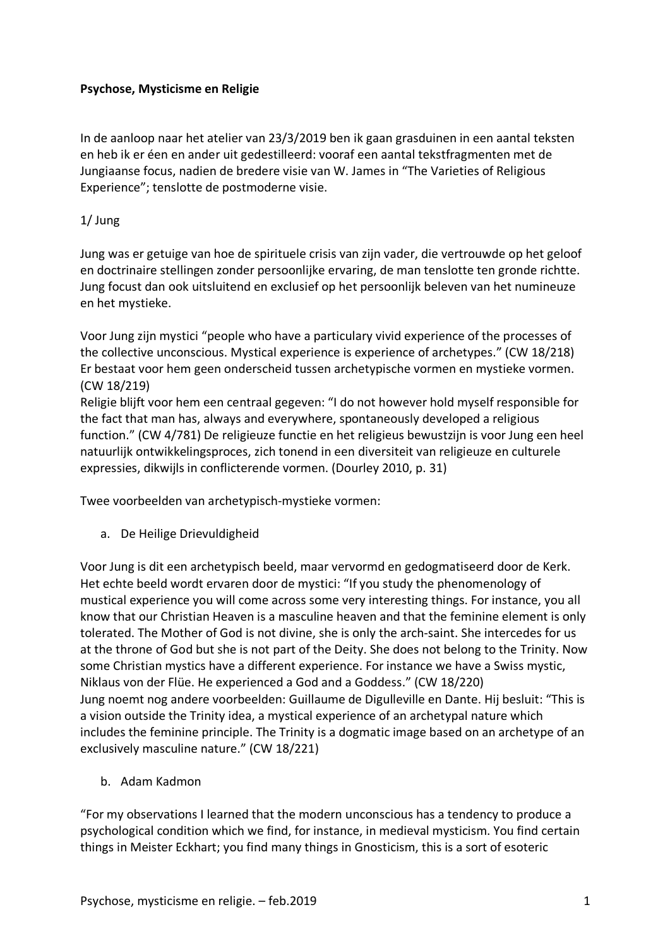## **Psychose, Mysticisme en Religie**

In de aanloop naar het atelier van 23/3/2019 ben ik gaan grasduinen in een aantal teksten en heb ik er éen en ander uit gedestilleerd: vooraf een aantal tekstfragmenten met de Jungiaanse focus, nadien de bredere visie van W. James in "The Varieties of Religious Experience"; tenslotte de postmoderne visie.

## 1/ Jung

Jung was er getuige van hoe de spirituele crisis van zijn vader, die vertrouwde op het geloof en doctrinaire stellingen zonder persoonlijke ervaring, de man tenslotte ten gronde richtte. Jung focust dan ook uitsluitend en exclusief op het persoonlijk beleven van het numineuze en het mystieke.

Voor Jung zijn mystici "people who have a particulary vivid experience of the processes of the collective unconscious. Mystical experience is experience of archetypes." (CW 18/218) Er bestaat voor hem geen onderscheid tussen archetypische vormen en mystieke vormen. (CW 18/219)

Religie blijft voor hem een centraal gegeven: "I do not however hold myself responsible for the fact that man has, always and everywhere, spontaneously developed a religious function." (CW 4/781) De religieuze functie en het religieus bewustzijn is voor Jung een heel natuurlijk ontwikkelingsproces, zich tonend in een diversiteit van religieuze en culturele expressies, dikwijls in conflicterende vormen. (Dourley 2010, p. 31)

Twee voorbeelden van archetypisch-mystieke vormen:

a. De Heilige Drievuldigheid

Voor Jung is dit een archetypisch beeld, maar vervormd en gedogmatiseerd door de Kerk. Het echte beeld wordt ervaren door de mystici: "If you study the phenomenology of mustical experience you will come across some very interesting things. For instance, you all know that our Christian Heaven is a masculine heaven and that the feminine element is only tolerated. The Mother of God is not divine, she is only the arch-saint. She intercedes for us at the throne of God but she is not part of the Deity. She does not belong to the Trinity. Now some Christian mystics have a different experience. For instance we have a Swiss mystic, Niklaus von der Flüe. He experienced a God and a Goddess." (CW 18/220) Jung noemt nog andere voorbeelden: Guillaume de Digulleville en Dante. Hij besluit: "This is a vision outside the Trinity idea, a mystical experience of an archetypal nature which includes the feminine principle. The Trinity is a dogmatic image based on an archetype of an exclusively masculine nature." (CW 18/221)

b. Adam Kadmon

"For my observations I learned that the modern unconscious has a tendency to produce a psychological condition which we find, for instance, in medieval mysticism. You find certain things in Meister Eckhart; you find many things in Gnosticism, this is a sort of esoteric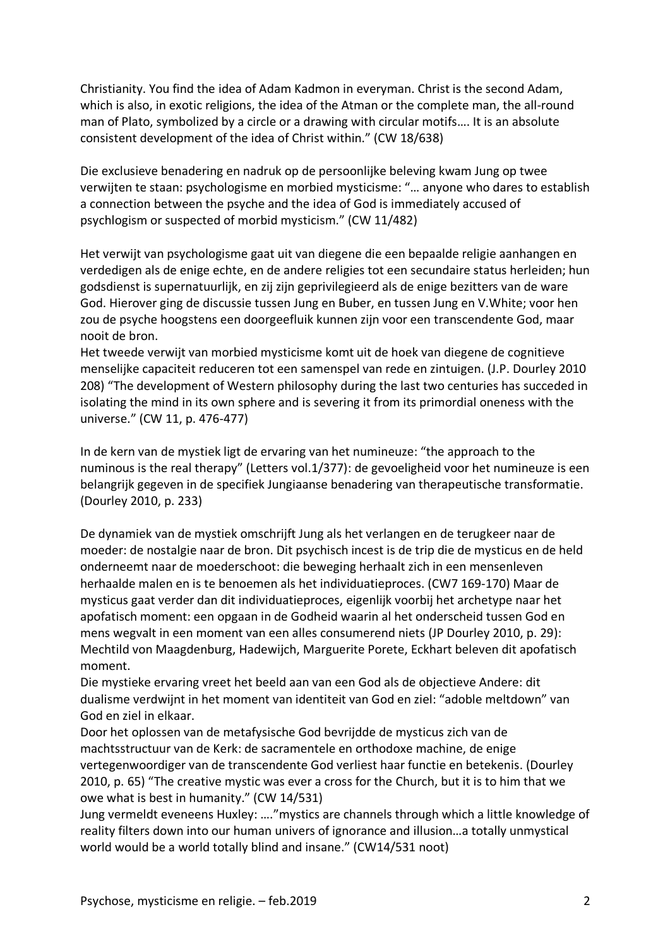Christianity. You find the idea of Adam Kadmon in everyman. Christ is the second Adam, which is also, in exotic religions, the idea of the Atman or the complete man, the all-round man of Plato, symbolized by a circle or a drawing with circular motifs…. It is an absolute consistent development of the idea of Christ within." (CW 18/638)

Die exclusieve benadering en nadruk op de persoonlijke beleving kwam Jung op twee verwijten te staan: psychologisme en morbied mysticisme: "… anyone who dares to establish a connection between the psyche and the idea of God is immediately accused of psychlogism or suspected of morbid mysticism." (CW 11/482)

Het verwijt van psychologisme gaat uit van diegene die een bepaalde religie aanhangen en verdedigen als de enige echte, en de andere religies tot een secundaire status herleiden; hun godsdienst is supernatuurlijk, en zij zijn geprivilegieerd als de enige bezitters van de ware God. Hierover ging de discussie tussen Jung en Buber, en tussen Jung en V.White; voor hen zou de psyche hoogstens een doorgeefluik kunnen zijn voor een transcendente God, maar nooit de bron.

Het tweede verwijt van morbied mysticisme komt uit de hoek van diegene de cognitieve menselijke capaciteit reduceren tot een samenspel van rede en zintuigen. (J.P. Dourley 2010 208) "The development of Western philosophy during the last two centuries has succeded in isolating the mind in its own sphere and is severing it from its primordial oneness with the universe." (CW 11, p. 476-477)

In de kern van de mystiek ligt de ervaring van het numineuze: "the approach to the numinous is the real therapy" (Letters vol.1/377): de gevoeligheid voor het numineuze is een belangrijk gegeven in de specifiek Jungiaanse benadering van therapeutische transformatie. (Dourley 2010, p. 233)

De dynamiek van de mystiek omschrijft Jung als het verlangen en de terugkeer naar de moeder: de nostalgie naar de bron. Dit psychisch incest is de trip die de mysticus en de held onderneemt naar de moederschoot: die beweging herhaalt zich in een mensenleven herhaalde malen en is te benoemen als het individuatieproces. (CW7 169-170) Maar de mysticus gaat verder dan dit individuatieproces, eigenlijk voorbij het archetype naar het apofatisch moment: een opgaan in de Godheid waarin al het onderscheid tussen God en mens wegvalt in een moment van een alles consumerend niets (JP Dourley 2010, p. 29): Mechtild von Maagdenburg, Hadewijch, Marguerite Porete, Eckhart beleven dit apofatisch moment.

Die mystieke ervaring vreet het beeld aan van een God als de objectieve Andere: dit dualisme verdwijnt in het moment van identiteit van God en ziel: "adoble meltdown" van God en ziel in elkaar.

Door het oplossen van de metafysische God bevrijdde de mysticus zich van de machtsstructuur van de Kerk: de sacramentele en orthodoxe machine, de enige vertegenwoordiger van de transcendente God verliest haar functie en betekenis. (Dourley 2010, p. 65) "The creative mystic was ever a cross for the Church, but it is to him that we owe what is best in humanity." (CW 14/531)

Jung vermeldt eveneens Huxley: …."mystics are channels through which a little knowledge of reality filters down into our human univers of ignorance and illusion…a totally unmystical world would be a world totally blind and insane." (CW14/531 noot)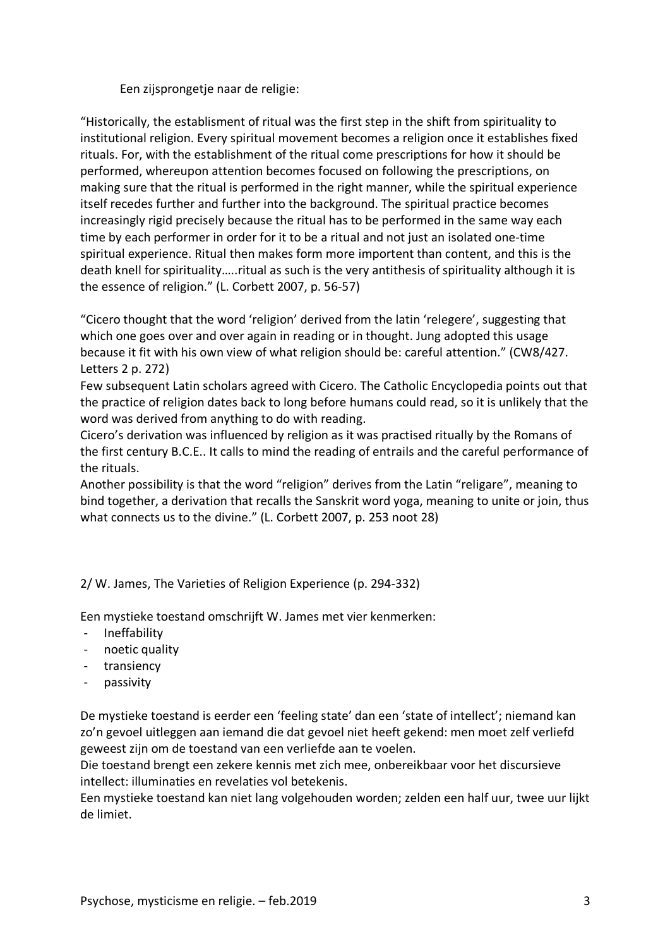Een zijsprongetje naar de religie:

"Historically, the establisment of ritual was the first step in the shift from spirituality to institutional religion. Every spiritual movement becomes a religion once it establishes fixed rituals. For, with the establishment of the ritual come prescriptions for how it should be performed, whereupon attention becomes focused on following the prescriptions, on making sure that the ritual is performed in the right manner, while the spiritual experience itself recedes further and further into the background. The spiritual practice becomes increasingly rigid precisely because the ritual has to be performed in the same way each time by each performer in order for it to be a ritual and not just an isolated one-time spiritual experience. Ritual then makes form more importent than content, and this is the death knell for spirituality…..ritual as such is the very antithesis of spirituality although it is the essence of religion." (L. Corbett 2007, p. 56-57)

"Cicero thought that the word 'religion' derived from the latin 'relegere', suggesting that which one goes over and over again in reading or in thought. Jung adopted this usage because it fit with his own view of what religion should be: careful attention." (CW8/427. Letters 2 p. 272)

Few subsequent Latin scholars agreed with Cicero. The Catholic Encyclopedia points out that the practice of religion dates back to long before humans could read, so it is unlikely that the word was derived from anything to do with reading.

Cicero's derivation was influenced by religion as it was practised ritually by the Romans of the first century B.C.E.. It calls to mind the reading of entrails and the careful performance of the rituals.

Another possibility is that the word "religion" derives from the Latin "religare", meaning to bind together, a derivation that recalls the Sanskrit word yoga, meaning to unite or join, thus what connects us to the divine." (L. Corbett 2007, p. 253 noot 28)

2/ W. James, The Varieties of Religion Experience (p. 294-332)

Een mystieke toestand omschrijft W. James met vier kenmerken:

- Ineffability
- noetic quality
- transiency
- passivity

De mystieke toestand is eerder een 'feeling state' dan een 'state of intellect'; niemand kan zo'n gevoel uitleggen aan iemand die dat gevoel niet heeft gekend: men moet zelf verliefd geweest zijn om de toestand van een verliefde aan te voelen.

Die toestand brengt een zekere kennis met zich mee, onbereikbaar voor het discursieve intellect: illuminaties en revelaties vol betekenis.

Een mystieke toestand kan niet lang volgehouden worden; zelden een half uur, twee uur lijkt de limiet.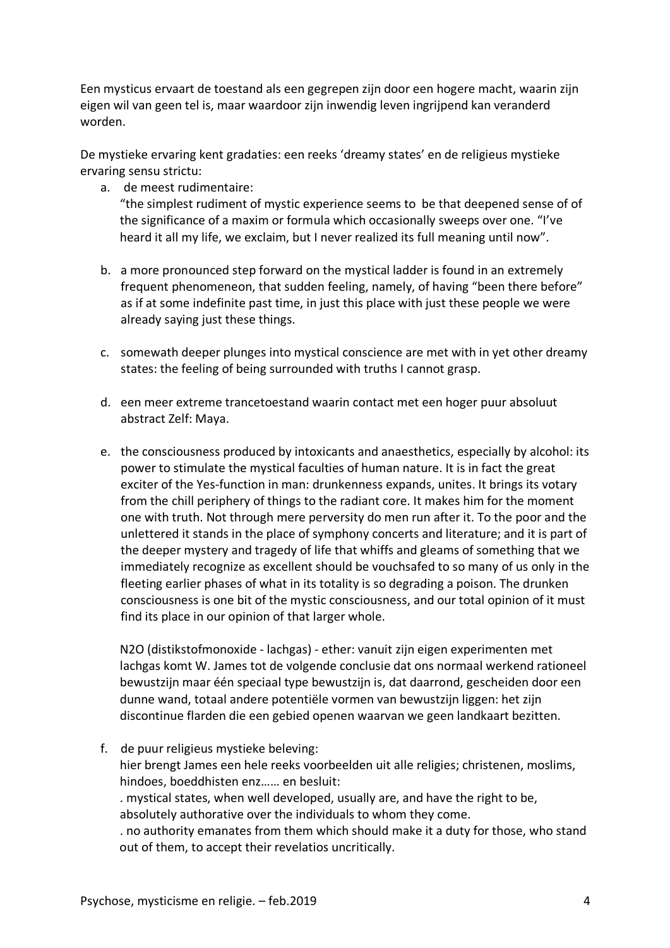Een mysticus ervaart de toestand als een gegrepen zijn door een hogere macht, waarin zijn eigen wil van geen tel is, maar waardoor zijn inwendig leven ingrijpend kan veranderd worden.

De mystieke ervaring kent gradaties: een reeks 'dreamy states' en de religieus mystieke ervaring sensu strictu:

a. de meest rudimentaire:

"the simplest rudiment of mystic experience seems to be that deepened sense of of the significance of a maxim or formula which occasionally sweeps over one. "I've heard it all my life, we exclaim, but I never realized its full meaning until now".

- b. a more pronounced step forward on the mystical ladder is found in an extremely frequent phenomeneon, that sudden feeling, namely, of having "been there before" as if at some indefinite past time, in just this place with just these people we were already saying just these things.
- c. somewath deeper plunges into mystical conscience are met with in yet other dreamy states: the feeling of being surrounded with truths I cannot grasp.
- d. een meer extreme trancetoestand waarin contact met een hoger puur absoluut abstract Zelf: Maya.
- e. the consciousness produced by intoxicants and anaesthetics, especially by alcohol: its power to stimulate the mystical faculties of human nature. It is in fact the great exciter of the Yes-function in man: drunkenness expands, unites. It brings its votary from the chill periphery of things to the radiant core. It makes him for the moment one with truth. Not through mere perversity do men run after it. To the poor and the unlettered it stands in the place of symphony concerts and literature; and it is part of the deeper mystery and tragedy of life that whiffs and gleams of something that we immediately recognize as excellent should be vouchsafed to so many of us only in the fleeting earlier phases of what in its totality is so degrading a poison. The drunken consciousness is one bit of the mystic consciousness, and our total opinion of it must find its place in our opinion of that larger whole.

N2O (distikstofmonoxide - lachgas) - ether: vanuit zijn eigen experimenten met lachgas komt W. James tot de volgende conclusie dat ons normaal werkend rationeel bewustzijn maar één speciaal type bewustzijn is, dat daarrond, gescheiden door een dunne wand, totaal andere potentiële vormen van bewustzijn liggen: het zijn discontinue flarden die een gebied openen waarvan we geen landkaart bezitten.

f. de puur religieus mystieke beleving: hier brengt James een hele reeks voorbeelden uit alle religies; christenen, moslims, hindoes, boeddhisten enz…… en besluit: . mystical states, when well developed, usually are, and have the right to be, absolutely authorative over the individuals to whom they come. . no authority emanates from them which should make it a duty for those, who stand out of them, to accept their revelatios uncritically.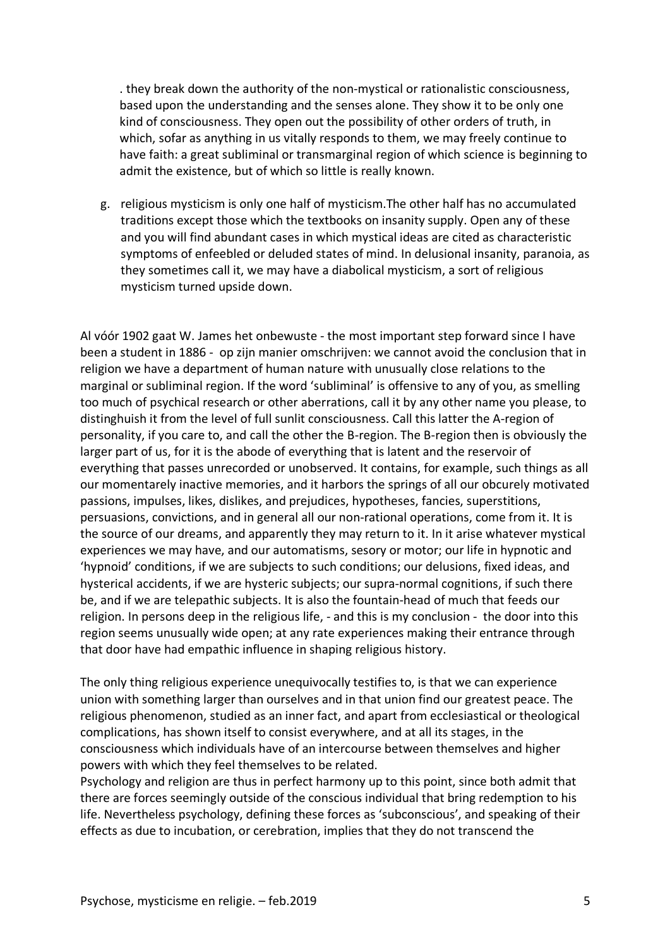. they break down the authority of the non-mystical or rationalistic consciousness, based upon the understanding and the senses alone. They show it to be only one kind of consciousness. They open out the possibility of other orders of truth, in which, sofar as anything in us vitally responds to them, we may freely continue to have faith: a great subliminal or transmarginal region of which science is beginning to admit the existence, but of which so little is really known.

g. religious mysticism is only one half of mysticism.The other half has no accumulated traditions except those which the textbooks on insanity supply. Open any of these and you will find abundant cases in which mystical ideas are cited as characteristic symptoms of enfeebled or deluded states of mind. In delusional insanity, paranoia, as they sometimes call it, we may have a diabolical mysticism, a sort of religious mysticism turned upside down.

Al vóór 1902 gaat W. James het onbewuste - the most important step forward since I have been a student in 1886 - op zijn manier omschrijven: we cannot avoid the conclusion that in religion we have a department of human nature with unusually close relations to the marginal or subliminal region. If the word 'subliminal' is offensive to any of you, as smelling too much of psychical research or other aberrations, call it by any other name you please, to distinghuish it from the level of full sunlit consciousness. Call this latter the A-region of personality, if you care to, and call the other the B-region. The B-region then is obviously the larger part of us, for it is the abode of everything that is latent and the reservoir of everything that passes unrecorded or unobserved. It contains, for example, such things as all our momentarely inactive memories, and it harbors the springs of all our obcurely motivated passions, impulses, likes, dislikes, and prejudices, hypotheses, fancies, superstitions, persuasions, convictions, and in general all our non-rational operations, come from it. It is the source of our dreams, and apparently they may return to it. In it arise whatever mystical experiences we may have, and our automatisms, sesory or motor; our life in hypnotic and 'hypnoid' conditions, if we are subjects to such conditions; our delusions, fixed ideas, and hysterical accidents, if we are hysteric subjects; our supra-normal cognitions, if such there be, and if we are telepathic subjects. It is also the fountain-head of much that feeds our religion. In persons deep in the religious life, - and this is my conclusion - the door into this region seems unusually wide open; at any rate experiences making their entrance through that door have had empathic influence in shaping religious history.

The only thing religious experience unequivocally testifies to, is that we can experience union with something larger than ourselves and in that union find our greatest peace. The religious phenomenon, studied as an inner fact, and apart from ecclesiastical or theological complications, has shown itself to consist everywhere, and at all its stages, in the consciousness which individuals have of an intercourse between themselves and higher powers with which they feel themselves to be related.

Psychology and religion are thus in perfect harmony up to this point, since both admit that there are forces seemingly outside of the conscious individual that bring redemption to his life. Nevertheless psychology, defining these forces as 'subconscious', and speaking of their effects as due to incubation, or cerebration, implies that they do not transcend the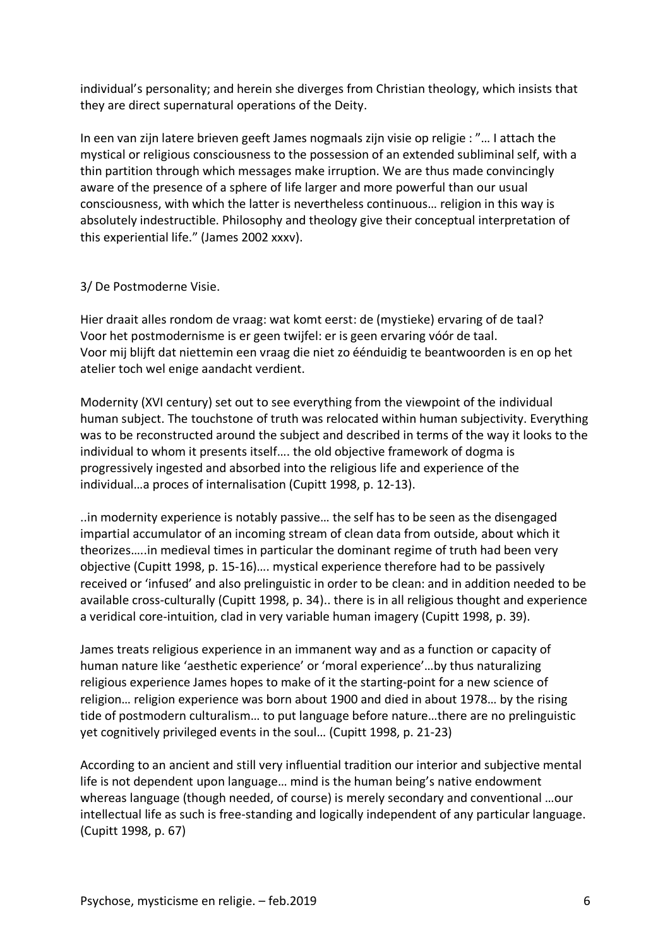individual's personality; and herein she diverges from Christian theology, which insists that they are direct supernatural operations of the Deity.

In een van zijn latere brieven geeft James nogmaals zijn visie op religie : "… I attach the mystical or religious consciousness to the possession of an extended subliminal self, with a thin partition through which messages make irruption. We are thus made convincingly aware of the presence of a sphere of life larger and more powerful than our usual consciousness, with which the latter is nevertheless continuous… religion in this way is absolutely indestructible. Philosophy and theology give their conceptual interpretation of this experiential life." (James 2002 xxxv).

## 3/ De Postmoderne Visie.

Hier draait alles rondom de vraag: wat komt eerst: de (mystieke) ervaring of de taal? Voor het postmodernisme is er geen twijfel: er is geen ervaring vóór de taal. Voor mij blijft dat niettemin een vraag die niet zo éénduidig te beantwoorden is en op het atelier toch wel enige aandacht verdient.

Modernity (XVI century) set out to see everything from the viewpoint of the individual human subject. The touchstone of truth was relocated within human subjectivity. Everything was to be reconstructed around the subject and described in terms of the way it looks to the individual to whom it presents itself…. the old objective framework of dogma is progressively ingested and absorbed into the religious life and experience of the individual…a proces of internalisation (Cupitt 1998, p. 12-13).

..in modernity experience is notably passive… the self has to be seen as the disengaged impartial accumulator of an incoming stream of clean data from outside, about which it theorizes…..in medieval times in particular the dominant regime of truth had been very objective (Cupitt 1998, p. 15-16)…. mystical experience therefore had to be passively received or 'infused' and also prelinguistic in order to be clean: and in addition needed to be available cross-culturally (Cupitt 1998, p. 34).. there is in all religious thought and experience a veridical core-intuition, clad in very variable human imagery (Cupitt 1998, p. 39).

James treats religious experience in an immanent way and as a function or capacity of human nature like 'aesthetic experience' or 'moral experience'…by thus naturalizing religious experience James hopes to make of it the starting-point for a new science of religion… religion experience was born about 1900 and died in about 1978… by the rising tide of postmodern culturalism… to put language before nature…there are no prelinguistic yet cognitively privileged events in the soul… (Cupitt 1998, p. 21-23)

According to an ancient and still very influential tradition our interior and subjective mental life is not dependent upon language… mind is the human being's native endowment whereas language (though needed, of course) is merely secondary and conventional …our intellectual life as such is free-standing and logically independent of any particular language. (Cupitt 1998, p. 67)